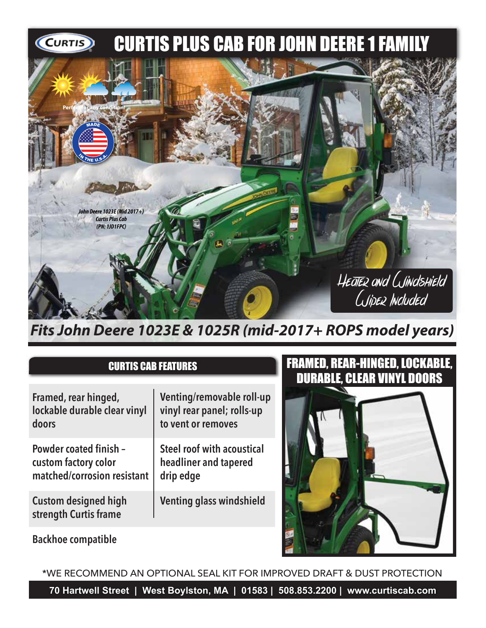

*Fits John Deere 1023E & 1025R (mid-2017+ ROPS model years)*

## CURTIS CAB FEATURES

| Framed, rear hinged,                                 | Venting/removable roll-up         |
|------------------------------------------------------|-----------------------------------|
| lockable durable clear vinyl                         | vinyl rear panel; rolls-up        |
| doors                                                | to vent or removes                |
| <b>Powder coated finish -</b>                        | <b>Steel roof with acoustical</b> |
| custom factory color                                 | headliner and tapered             |
| matched/corrosion resistant                          | drip edge                         |
| <b>Custom designed high</b><br>strength Curtis frame | <b>Venting glass windshield</b>   |

## FRAMED, REAR-HINGED, LOCKABLE, DURABLE, CLEAR VINYL DOORS



**Backhoe compatible**

\*WE RECOMMEND AN OPTIONAL SEAL KIT FOR IMPROVED DRAFT & DUST PROTECTION

**70 Hartwell Street | West Boylston, MA | 01583 | 508.853.2200 | www.curtiscab.com**